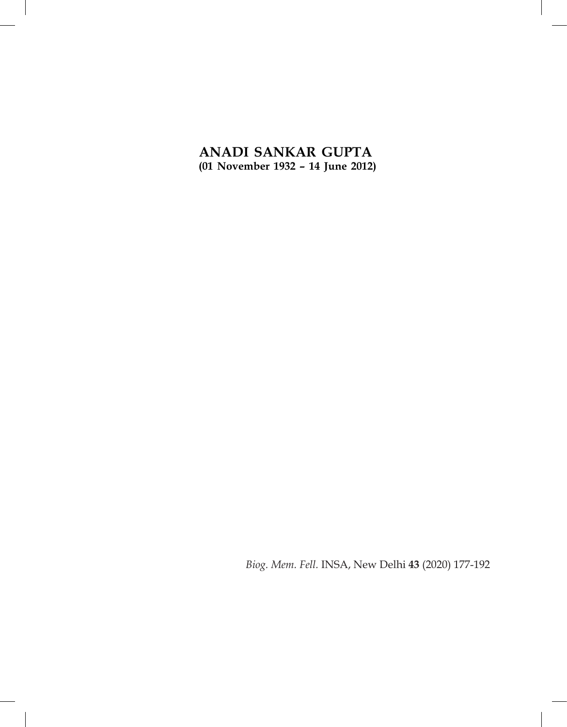# **ANADI SANKAR GUPTA (01 November 1932 – 14 June 2012)**

*Biog. Mem. Fell.* INSA, New Delhi **43** (2020) 177-192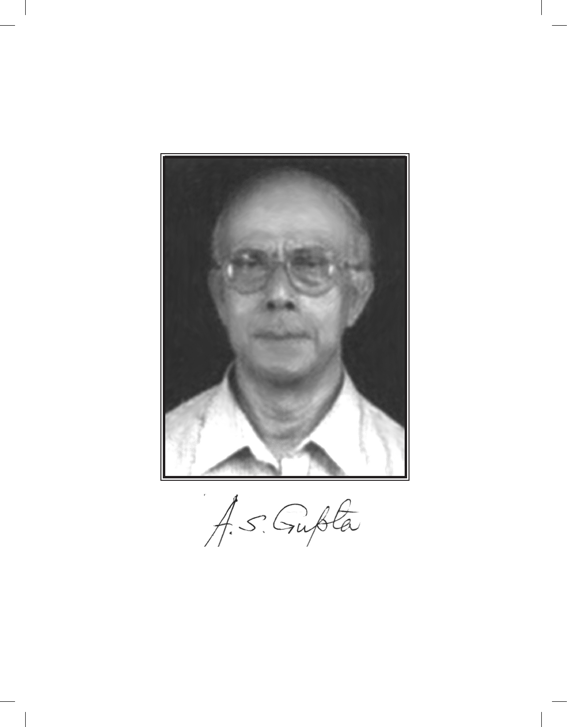

A.S. Gubta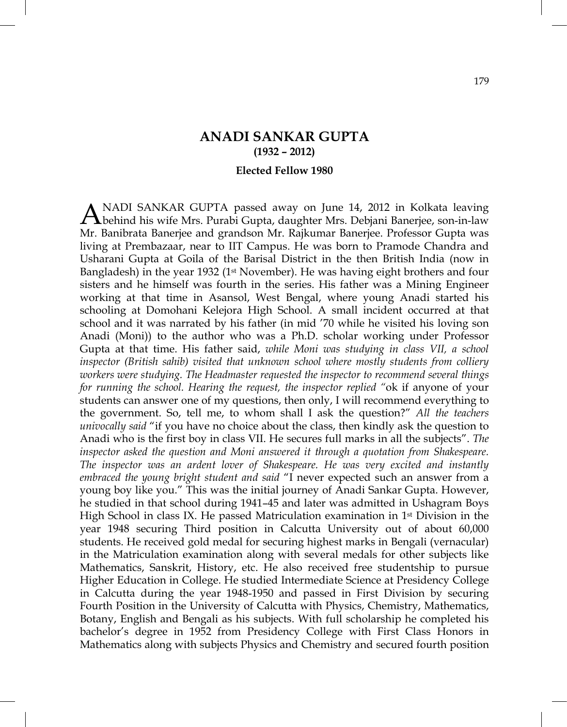## **ANADI SANKAR GUPTA (1932 – 2012)**

### **Elected Fellow 1980**

NADI SANKAR GUPTA passed away on June 14, 2012 in Kolkata leaving ANADI SANKAR GUPTA passed away on June 14, 2012 in Kolkata leaving<br>behind his wife Mrs. Purabi Gupta, daughter Mrs. Debjani Banerjee, son-in-law Mr. Banibrata Banerjee and grandson Mr. Rajkumar Banerjee. Professor Gupta was living at Prembazaar, near to IIT Campus. He was born to Pramode Chandra and Usharani Gupta at Goila of the Barisal District in the then British India (now in Bangladesh) in the year 1932 ( $1<sup>st</sup>$  November). He was having eight brothers and four sisters and he himself was fourth in the series. His father was a Mining Engineer working at that time in Asansol, West Bengal, where young Anadi started his schooling at Domohani Kelejora High School. A small incident occurred at that school and it was narrated by his father (in mid '70 while he visited his loving son Anadi (Moni)) to the author who was a Ph.D. scholar working under Professor Gupta at that time. His father said, *while Moni was studying in class VII, a school inspector (British sahib) visited that unknown school where mostly students from colliery workers were studying. The Headmaster requested the inspector to recommend several things for running the school. Hearing the request, the inspector replied "*ok if anyone of your students can answer one of my questions, then only, I will recommend everything to the government. So, tell me, to whom shall I ask the question?" *All the teachers univocally said* "if you have no choice about the class, then kindly ask the question to Anadi who is the first boy in class VII. He secures full marks in all the subjects". *The inspector asked the question and Moni answered it through a quotation from Shakespeare. The inspector was an ardent lover of Shakespeare. He was very excited and instantly embraced the young bright student and said* "I never expected such an answer from a young boy like you." This was the initial journey of Anadi Sankar Gupta. However, he studied in that school during 1941–45 and later was admitted in Ushagram Boys High School in class IX. He passed Matriculation examination in 1st Division in the year 1948 securing Third position in Calcutta University out of about 60,000 students. He received gold medal for securing highest marks in Bengali (vernacular) in the Matriculation examination along with several medals for other subjects like Mathematics, Sanskrit, History, etc. He also received free studentship to pursue Higher Education in College. He studied Intermediate Science at Presidency College in Calcutta during the year 1948-1950 and passed in First Division by securing Fourth Position in the University of Calcutta with Physics, Chemistry, Mathematics, Botany, English and Bengali as his subjects. With full scholarship he completed his bachelor's degree in 1952 from Presidency College with First Class Honors in Mathematics along with subjects Physics and Chemistry and secured fourth position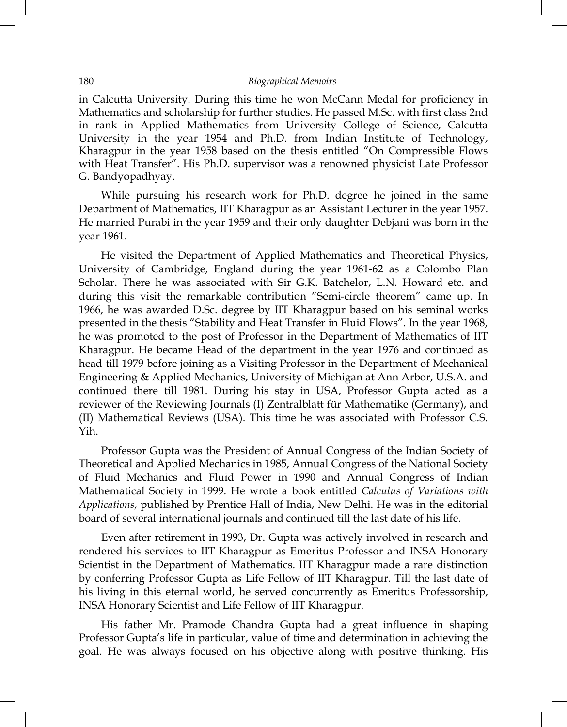#### 180 *Biographical Memoirs*

in Calcutta University. During this time he won McCann Medal for proficiency in Mathematics and scholarship for further studies. He passed M.Sc. with first class 2nd in rank in Applied Mathematics from University College of Science, Calcutta University in the year 1954 and Ph.D. from Indian Institute of Technology, Kharagpur in the year 1958 based on the thesis entitled "On Compressible Flows with Heat Transfer". His Ph.D. supervisor was a renowned physicist Late Professor G. Bandyopadhyay.

 While pursuing his research work for Ph.D. degree he joined in the same Department of Mathematics, IIT Kharagpur as an Assistant Lecturer in the year 1957. He married Purabi in the year 1959 and their only daughter Debjani was born in the year 1961.

 He visited the Department of Applied Mathematics and Theoretical Physics, University of Cambridge, England during the year 1961-62 as a Colombo Plan Scholar. There he was associated with Sir G.K. Batchelor, L.N. Howard etc. and during this visit the remarkable contribution "Semi-circle theorem" came up. In 1966, he was awarded D.Sc. degree by IIT Kharagpur based on his seminal works presented in the thesis "Stability and Heat Transfer in Fluid Flows". In the year 1968, he was promoted to the post of Professor in the Department of Mathematics of IIT Kharagpur. He became Head of the department in the year 1976 and continued as head till 1979 before joining as a Visiting Professor in the Department of Mechanical Engineering & Applied Mechanics, University of Michigan at Ann Arbor, U.S.A. and continued there till 1981. During his stay in USA, Professor Gupta acted as a reviewer of the Reviewing Journals (I) Zentralblatt für Mathematike (Germany), and (II) Mathematical Reviews (USA). This time he was associated with Professor C.S. Yih.

 Professor Gupta was the President of Annual Congress of the Indian Society of Theoretical and Applied Mechanics in 1985, Annual Congress of the National Society of Fluid Mechanics and Fluid Power in 1990 and Annual Congress of Indian Mathematical Society in 1999. He wrote a book entitled *Calculus of Variations with Applications,* published by Prentice Hall of India, New Delhi. He was in the editorial board of several international journals and continued till the last date of his life.

 Even after retirement in 1993, Dr. Gupta was actively involved in research and rendered his services to IIT Kharagpur as Emeritus Professor and INSA Honorary Scientist in the Department of Mathematics. IIT Kharagpur made a rare distinction by conferring Professor Gupta as Life Fellow of IIT Kharagpur. Till the last date of his living in this eternal world, he served concurrently as Emeritus Professorship, INSA Honorary Scientist and Life Fellow of IIT Kharagpur.

 His father Mr. Pramode Chandra Gupta had a great influence in shaping Professor Gupta's life in particular, value of time and determination in achieving the goal. He was always focused on his objective along with positive thinking. His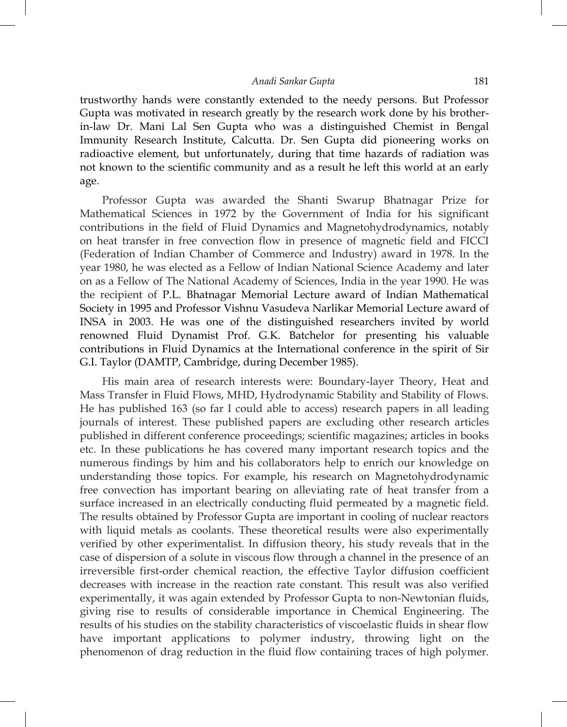trustworthy hands were constantly extended to the needy persons. But Professor Gupta was motivated in research greatly by the research work done by his brotherin-law Dr. Mani Lal Sen Gupta who was a distinguished Chemist in Bengal Immunity Research Institute, Calcutta. Dr. Sen Gupta did pioneering works on radioactive element, but unfortunately, during that time hazards of radiation was not known to the scientific community and as a result he left this world at an early age.

 Professor Gupta was awarded the Shanti Swarup Bhatnagar Prize for Mathematical Sciences in 1972 by the Government of India for his significant contributions in the field of Fluid Dynamics and Magnetohydrodynamics, notably on heat transfer in free convection flow in presence of magnetic field and FICCI (Federation of Indian Chamber of Commerce and Industry) award in 1978. In the year 1980, he was elected as a Fellow of Indian National Science Academy and later on as a Fellow of The National Academy of Sciences, India in the year 1990. He was the recipient of P.L. Bhatnagar Memorial Lecture award of Indian Mathematical Society in 1995 and Professor Vishnu Vasudeva Narlikar Memorial Lecture award of INSA in 2003. He was one of the distinguished researchers invited by world renowned Fluid Dynamist Prof. G.K. Batchelor for presenting his valuable contributions in Fluid Dynamics at the International conference in the spirit of Sir G.I. Taylor (DAMTP, Cambridge, during December 1985).

 His main area of research interests were: Boundary-layer Theory, Heat and Mass Transfer in Fluid Flows, MHD, Hydrodynamic Stability and Stability of Flows. He has published 163 (so far I could able to access) research papers in all leading journals of interest. These published papers are excluding other research articles published in different conference proceedings; scientific magazines; articles in books etc. In these publications he has covered many important research topics and the numerous findings by him and his collaborators help to enrich our knowledge on understanding those topics. For example, his research on Magnetohydrodynamic free convection has important bearing on alleviating rate of heat transfer from a surface increased in an electrically conducting fluid permeated by a magnetic field. The results obtained by Professor Gupta are important in cooling of nuclear reactors with liquid metals as coolants. These theoretical results were also experimentally verified by other experimentalist. In diffusion theory, his study reveals that in the case of dispersion of a solute in viscous flow through a channel in the presence of an irreversible first-order chemical reaction, the effective Taylor diffusion coefficient decreases with increase in the reaction rate constant. This result was also verified experimentally, it was again extended by Professor Gupta to non-Newtonian fluids, giving rise to results of considerable importance in Chemical Engineering. The results of his studies on the stability characteristics of viscoelastic fluids in shear flow have important applications to polymer industry, throwing light on the phenomenon of drag reduction in the fluid flow containing traces of high polymer.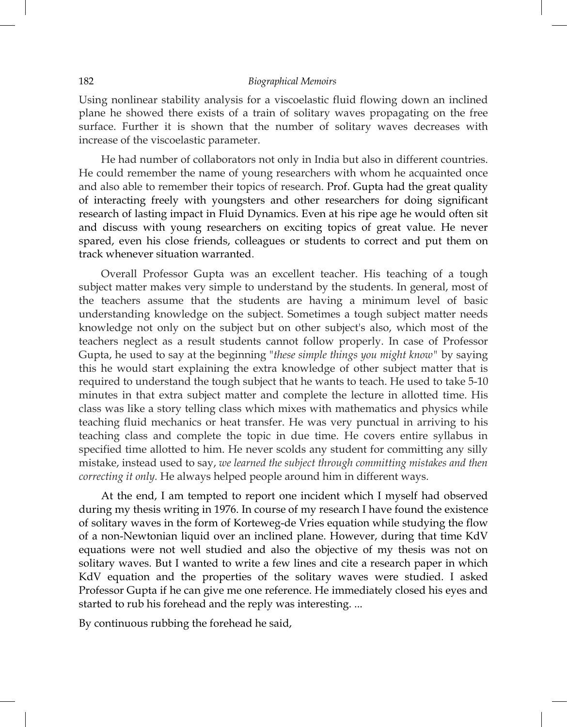#### 182 *Biographical Memoirs*

Using nonlinear stability analysis for a viscoelastic fluid flowing down an inclined plane he showed there exists of a train of solitary waves propagating on the free surface. Further it is shown that the number of solitary waves decreases with increase of the viscoelastic parameter.

 He had number of collaborators not only in India but also in different countries. He could remember the name of young researchers with whom he acquainted once and also able to remember their topics of research. Prof. Gupta had the great quality of interacting freely with youngsters and other researchers for doing significant research of lasting impact in Fluid Dynamics. Even at his ripe age he would often sit and discuss with young researchers on exciting topics of great value. He never spared, even his close friends, colleagues or students to correct and put them on track whenever situation warranted.

 Overall Professor Gupta was an excellent teacher. His teaching of a tough subject matter makes very simple to understand by the students. In general, most of the teachers assume that the students are having a minimum level of basic understanding knowledge on the subject. Sometimes a tough subject matter needs knowledge not only on the subject but on other subject's also, which most of the teachers neglect as a result students cannot follow properly. In case of Professor Gupta, he used to say at the beginning "*these simple things you might know"* by saying this he would start explaining the extra knowledge of other subject matter that is required to understand the tough subject that he wants to teach. He used to take 5-10 minutes in that extra subject matter and complete the lecture in allotted time. His class was like a story telling class which mixes with mathematics and physics while teaching fluid mechanics or heat transfer. He was very punctual in arriving to his teaching class and complete the topic in due time. He covers entire syllabus in specified time allotted to him. He never scolds any student for committing any silly mistake, instead used to say, *we learned the subject through committing mistakes and then correcting it only.* He always helped people around him in different ways.

 At the end, I am tempted to report one incident which I myself had observed during my thesis writing in 1976. In course of my research I have found the existence of solitary waves in the form of Korteweg-de Vries equation while studying the flow of a non-Newtonian liquid over an inclined plane. However, during that time KdV equations were not well studied and also the objective of my thesis was not on solitary waves. But I wanted to write a few lines and cite a research paper in which KdV equation and the properties of the solitary waves were studied. I asked Professor Gupta if he can give me one reference. He immediately closed his eyes and started to rub his forehead and the reply was interesting. ...

By continuous rubbing the forehead he said,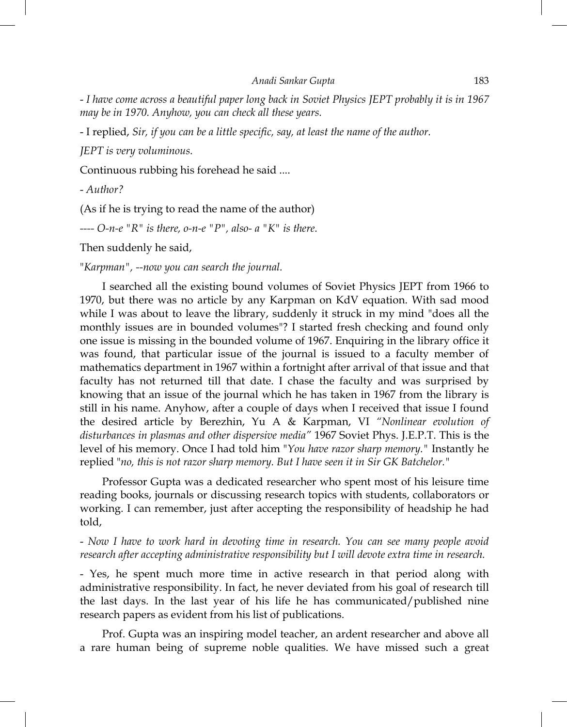*Anadi Sankar Gupta* 183

- *I have come across a beautiful paper long back in Soviet Physics JEPT probably it is in 1967 may be in 1970. Anyhow, you can check all these years.* 

- I replied, *Sir, if you can be a little specific, say, at least the name of the author.* 

*JEPT is very voluminous.* 

Continuous rubbing his forehead he said ....

- *Author?* 

(As if he is trying to read the name of the author)

----  $O$ -n-e "R" is there,  $o$ -n-e "P", also- a "K" is there.

Then suddenly he said,

"*Karpman", --now you can search the journal.* 

 I searched all the existing bound volumes of Soviet Physics JEPT from 1966 to 1970, but there was no article by any Karpman on KdV equation. With sad mood while I was about to leave the library, suddenly it struck in my mind "does all the monthly issues are in bounded volumes"? I started fresh checking and found only one issue is missing in the bounded volume of 1967. Enquiring in the library office it was found, that particular issue of the journal is issued to a faculty member of mathematics department in 1967 within a fortnight after arrival of that issue and that faculty has not returned till that date. I chase the faculty and was surprised by knowing that an issue of the journal which he has taken in 1967 from the library is still in his name. Anyhow, after a couple of days when I received that issue I found the desired article by Berezhin, Yu A & Karpman, VI *"Nonlinear evolution of disturbances in plasmas and other dispersive media"* 1967 Soviet Phys. J.E.P.T. This is the level of his memory. Once I had told him "*You have razor sharp memory."* Instantly he replied "*no, this is not razor sharp memory. But I have seen it in Sir GK Batchelor."* 

 Professor Gupta was a dedicated researcher who spent most of his leisure time reading books, journals or discussing research topics with students, collaborators or working. I can remember, just after accepting the responsibility of headship he had told,

- *Now I have to work hard in devoting time in research. You can see many people avoid research after accepting administrative responsibility but I will devote extra time in research.* 

- Yes, he spent much more time in active research in that period along with administrative responsibility. In fact, he never deviated from his goal of research till the last days. In the last year of his life he has communicated/published nine research papers as evident from his list of publications.

 Prof. Gupta was an inspiring model teacher, an ardent researcher and above all a rare human being of supreme noble qualities. We have missed such a great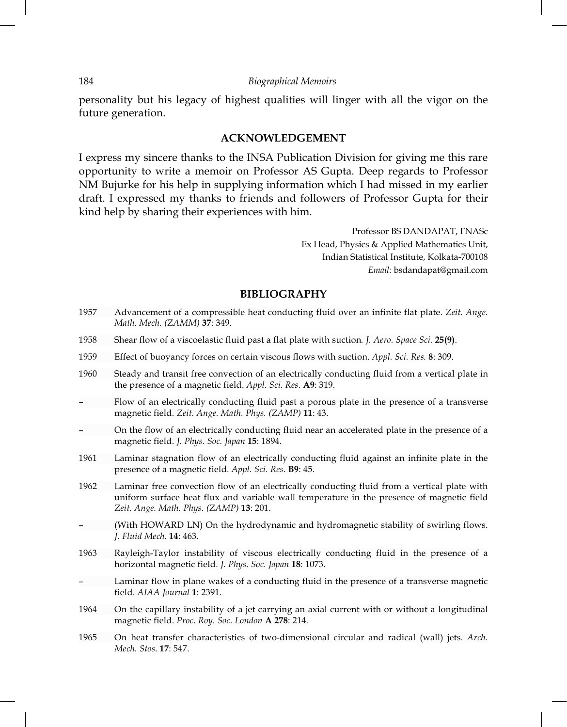personality but his legacy of highest qualities will linger with all the vigor on the future generation.

### **ACKNOWLEDGEMENT**

I express my sincere thanks to the INSA Publication Division for giving me this rare opportunity to write a memoir on Professor AS Gupta. Deep regards to Professor NM Bujurke for his help in supplying information which I had missed in my earlier draft. I expressed my thanks to friends and followers of Professor Gupta for their kind help by sharing their experiences with him.

> Professor BS DANDAPAT, FNASc Ex Head, Physics & Applied Mathematics Unit, Indian Statistical Institute, Kolkata-700108 *Email:* bsdandapat@gmail.com

## **BIBLIOGRAPHY**

- 1957 Advancement of a compressible heat conducting fluid over an infinite flat plate. *Zeit. Ange. Math. Mech. (ZAMM)* **37**: 349.
- 1958 Shear flow of a viscoelastic fluid past a flat plate with suction*. J. Aero. Space Sci.* **25(9)**.
- 1959 Effect of buoyancy forces on certain viscous flows with suction. *Appl. Sci. Res.* **8**: 309.
- 1960 Steady and transit free convection of an electrically conducting fluid from a vertical plate in the presence of a magnetic field. *Appl. Sci. Res.* **A9**: 319.
- Flow of an electrically conducting fluid past a porous plate in the presence of a transverse magnetic field. *Zeit. Ange. Math. Phys. (ZAMP)* **11**: 43.
- On the flow of an electrically conducting fluid near an accelerated plate in the presence of a magnetic field. *J. Phys. Soc. Japan* **15**: 1894.
- 1961 Laminar stagnation flow of an electrically conducting fluid against an infinite plate in the presence of a magnetic field. *Appl. Sci. Res*. **B9**: 45.
- 1962 Laminar free convection flow of an electrically conducting fluid from a vertical plate with uniform surface heat flux and variable wall temperature in the presence of magnetic field *Zeit. Ange. Math. Phys. (ZAMP)* **13**: 201.
- (With HOWARD LN) On the hydrodynamic and hydromagnetic stability of swirling flows. *J. Fluid Mech*. **14**: 463.
- 1963 Rayleigh-Taylor instability of viscous electrically conducting fluid in the presence of a horizontal magnetic field. *J. Phys. Soc. Japan* **18**: 1073.
- Laminar flow in plane wakes of a conducting fluid in the presence of a transverse magnetic field. *AIAA Journal* **1**: 2391.
- 1964 On the capillary instability of a jet carrying an axial current with or without a longitudinal magnetic field. *Proc. Roy. Soc. London* **A 278**: 214.
- 1965 On heat transfer characteristics of two-dimensional circular and radical (wall) jets. *Arch. Mech. Stos*. **17**: 547.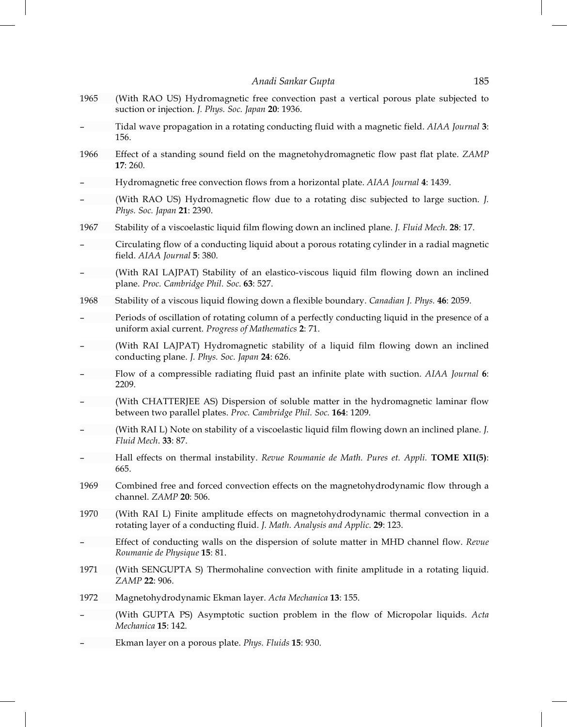1965 (With RAO US) Hydromagnetic free convection past a vertical porous plate subjected to suction or injection. *J. Phys. Soc. Japan* **20**: 1936. – Tidal wave propagation in a rotating conducting fluid with a magnetic field. *AIAA Journal* **3**: 156. 1966 Effect of a standing sound field on the magnetohydromagnetic flow past flat plate. *ZAMP* **17**: 260. – Hydromagnetic free convection flows from a horizontal plate. *AIAA Journal* **4**: 1439. – (With RAO US) Hydromagnetic flow due to a rotating disc subjected to large suction. *J. Phys. Soc. Japan* **21**: 2390. 1967 Stability of a viscoelastic liquid film flowing down an inclined plane. *J. Fluid Mech*. **28**: 17. – Circulating flow of a conducting liquid about a porous rotating cylinder in a radial magnetic field. *AIAA Journal* **5**: 380. – (With RAI LAJPAT) Stability of an elastico-viscous liquid film flowing down an inclined plane. *Proc. Cambridge Phil. Soc*. **63**: 527. 1968 Stability of a viscous liquid flowing down a flexible boundary. *Canadian J. Phys.* **46**: 2059. – Periods of oscillation of rotating column of a perfectly conducting liquid in the presence of a uniform axial current. *Progress of Mathematics* **2**: 71. – (With RAI LAJPAT) Hydromagnetic stability of a liquid film flowing down an inclined conducting plane. *J. Phys. Soc. Japan* **24**: 626. – Flow of a compressible radiating fluid past an infinite plate with suction. *AIAA Journal* **6**: 2209. (With CHATTERJEE AS) Dispersion of soluble matter in the hydromagnetic laminar flow between two parallel plates. *Proc. Cambridge Phil. Soc.* **164**: 1209. – (With RAI L) Note on stability of a viscoelastic liquid film flowing down an inclined plane. *J. Fluid Mech*. **33**: 87. – Hall effects on thermal instability. *Revue Roumanie de Math. Pures et. Appli.* **TOME XII(5)**: 665. 1969 Combined free and forced convection effects on the magnetohydrodynamic flow through a channel. *ZAMP* **20**: 506. 1970 (With RAI L) Finite amplitude effects on magnetohydrodynamic thermal convection in a rotating layer of a conducting fluid. *J. Math. Analysis and Applic*. **29**: 123. – Effect of conducting walls on the dispersion of solute matter in MHD channel flow. *Revue Roumanie de Physique* **15**: 81. 1971 (With SENGUPTA S) Thermohaline convection with finite amplitude in a rotating liquid. *ZAMP* **22**: 906. 1972 Magnetohydrodynamic Ekman layer. *Acta Mechanica* **13**: 155. – (With GUPTA PS) Asymptotic suction problem in the flow of Micropolar liquids. *Acta Mechanica* **15**: 142. – Ekman layer on a porous plate. *Phys. Fluids* **15**: 930.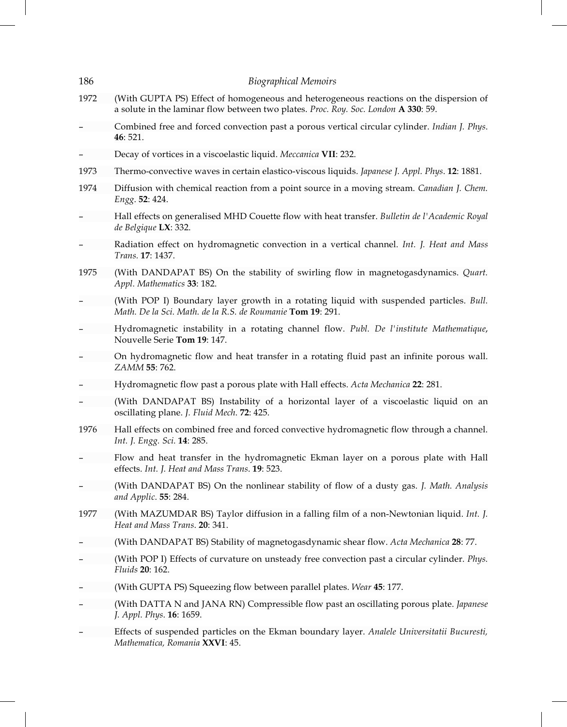| 186  | <b>Biographical Memoirs</b>                                                                                                                                                  |
|------|------------------------------------------------------------------------------------------------------------------------------------------------------------------------------|
| 1972 | (With GUPTA PS) Effect of homogeneous and heterogeneous reactions on the dispersion of<br>a solute in the laminar flow between two plates. Proc. Roy. Soc. London A 330: 59. |
|      | Combined free and forced convection past a porous vertical circular cylinder. Indian J. Phys.<br>46: 521.                                                                    |
|      | Decay of vortices in a viscoelastic liquid. Meccanica VII: 232.                                                                                                              |
| 1973 | Thermo-convective waves in certain elastico-viscous liquids. Japanese J. Appl. Phys. 12: 1881.                                                                               |
| 1974 | Diffusion with chemical reaction from a point source in a moving stream. Canadian J. Chem.<br>Engg. 52: 424.                                                                 |
|      | Hall effects on generalised MHD Couette flow with heat transfer. Bulletin de l'Academic Royal<br>de Belgique LX: 332.                                                        |
|      | Radiation effect on hydromagnetic convection in a vertical channel. Int. J. Heat and Mass<br>Trans. 17: 1437.                                                                |
| 1975 | (With DANDAPAT BS) On the stability of swirling flow in magnetogasdynamics. Quart.<br>Appl. Mathematics 33: 182.                                                             |
|      | (With POP I) Boundary layer growth in a rotating liquid with suspended particles. Bull.<br>Math. De la Sci. Math. de la R.S. de Roumanie Tom 19: 291.                        |
|      | Hydromagnetic instability in a rotating channel flow. Publ. De l'institute Mathematique,<br>Nouvelle Serie Tom 19: 147.                                                      |
|      | On hydromagnetic flow and heat transfer in a rotating fluid past an infinite porous wall.<br>ZAMM 55: 762.                                                                   |
|      | Hydromagnetic flow past a porous plate with Hall effects. Acta Mechanica 22: 281.                                                                                            |
|      | (With DANDAPAT BS) Instability of a horizontal layer of a viscoelastic liquid on an<br>oscillating plane. J. Fluid Mech. 72: 425.                                            |
| 1976 | Hall effects on combined free and forced convective hydromagnetic flow through a channel.<br>Int. J. Engg. Sci. 14: 285.                                                     |
|      | Flow and heat transfer in the hydromagnetic Ekman layer on a porous plate with Hall<br>effects. Int. J. Heat and Mass Trans. 19: 523.                                        |
|      | (With DANDAPAT BS) On the nonlinear stability of flow of a dusty gas. J. Math. Analysis<br>and Applic. 55: 284.                                                              |
| 1977 | (With MAZUMDAR BS) Taylor diffusion in a falling film of a non-Newtonian liquid. Int. J.<br>Heat and Mass Trans. 20: 341.                                                    |
|      | (With DANDAPAT BS) Stability of magnetogasdynamic shear flow. Acta Mechanica 28: 77.                                                                                         |
|      | (With POP I) Effects of curvature on unsteady free convection past a circular cylinder. Phys.<br>Fluids 20: 162.                                                             |
|      | (With GUPTA PS) Squeezing flow between parallel plates. Wear 45: 177.                                                                                                        |
|      | (With DATTA N and JANA RN) Compressible flow past an oscillating porous plate. Japanese<br>J. Appl. Phys. <b>16</b> : 1659.                                                  |
|      | Effects of suspended particles on the Ekman boundary layer. Analele Universitatii Bucuresti,<br>Mathematica, Romania XXVI: 45.                                               |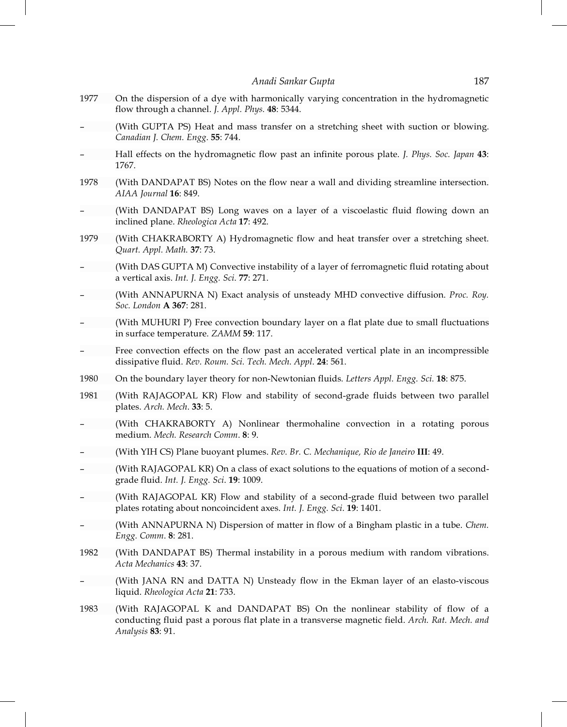- 1977 On the dispersion of a dye with harmonically varying concentration in the hydromagnetic flow through a channel. *J. Appl. Phys.* **48**: 5344.
- (With GUPTA PS) Heat and mass transfer on a stretching sheet with suction or blowing. *Canadian J. Chem. Engg*. **55**: 744.
- Hall effects on the hydromagnetic flow past an infinite porous plate. *J. Phys. Soc. Japan* **43**: 1767.
- 1978 (With DANDAPAT BS) Notes on the flow near a wall and dividing streamline intersection. *AIAA Journal* **16**: 849.
- (With DANDAPAT BS) Long waves on a layer of a viscoelastic fluid flowing down an inclined plane. *Rheologica Acta* **17**: 492.
- 1979 (With CHAKRABORTY A) Hydromagnetic flow and heat transfer over a stretching sheet. *Quart. Appl. Math.* **37**: 73.
- (With DAS GUPTA M) Convective instability of a layer of ferromagnetic fluid rotating about a vertical axis. *Int. J. Engg. Sci*. **77**: 271.
- (With ANNAPURNA N) Exact analysis of unsteady MHD convective diffusion. *Proc. Roy. Soc. London* **A 367**: 281.
- (With MUHURI P) Free convection boundary layer on a flat plate due to small fluctuations in surface temperature. *ZAMM* **59**: 117.
- Free convection effects on the flow past an accelerated vertical plate in an incompressible dissipative fluid. *Rev. Roum. Sci. Tech. Mech. Appl*. **24**: 561.
- 1980 On the boundary layer theory for non-Newtonian fluids*. Letters Appl. Engg. Sci.* **18**: 875.
- 1981 (With RAJAGOPAL KR) Flow and stability of second-grade fluids between two parallel plates. *Arch. Mech*. **33**: 5.
- (With CHAKRABORTY A) Nonlinear thermohaline convection in a rotating porous medium. *Mech. Research Comm*. **8**: 9.
- (With YIH CS) Plane buoyant plumes. *Rev. Br. C. Mechanique, Rio de Janeiro* **III**: 49.
- (With RAJAGOPAL KR) On a class of exact solutions to the equations of motion of a secondgrade fluid. *Int. J. Engg. Sci*. **19**: 1009.
- (With RAJAGOPAL KR) Flow and stability of a second-grade fluid between two parallel plates rotating about noncoincident axes. *Int. J. Engg. Sci*. **19**: 1401.
- (With ANNAPURNA N) Dispersion of matter in flow of a Bingham plastic in a tube. *Chem. Engg. Comm*. **8**: 281.
- 1982 (With DANDAPAT BS) Thermal instability in a porous medium with random vibrations. *Acta Mechanics* **43**: 37.
- (With JANA RN and DATTA N) Unsteady flow in the Ekman layer of an elasto-viscous liquid. *Rheologica Acta* **21**: 733.
- 1983 (With RAJAGOPAL K and DANDAPAT BS) On the nonlinear stability of flow of a conducting fluid past a porous flat plate in a transverse magnetic field. *Arch. Rat. Mech. and Analysis* **83**: 91.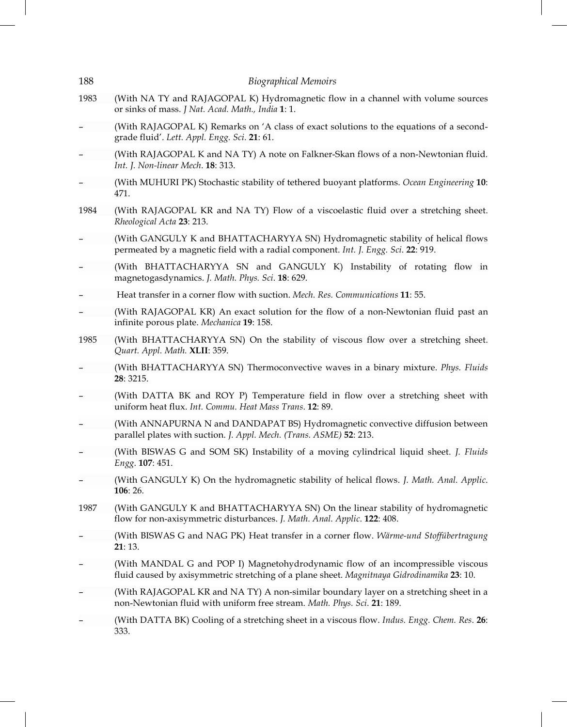| 188  | <b>Biographical Memoirs</b>                                                                                                                                                   |
|------|-------------------------------------------------------------------------------------------------------------------------------------------------------------------------------|
| 1983 | (With NA TY and RAJAGOPAL K) Hydromagnetic flow in a channel with volume sources<br>or sinks of mass. J Nat. Acad. Math., India 1: 1.                                         |
|      | (With RAJAGOPAL K) Remarks on 'A class of exact solutions to the equations of a second-<br>grade fluid'. Lett. Appl. Engg. Sci. 21: 61.                                       |
|      | (With RAJAGOPAL K and NA TY) A note on Falkner-Skan flows of a non-Newtonian fluid.<br>Int. J. Non-linear Mech. 18: 313.                                                      |
|      | (With MUHURI PK) Stochastic stability of tethered buoyant platforms. Ocean Engineering 10:<br>471.                                                                            |
| 1984 | (With RAJAGOPAL KR and NA TY) Flow of a viscoelastic fluid over a stretching sheet.<br>Rheological Acta 23: 213.                                                              |
|      | (With GANGULY K and BHATTACHARYYA SN) Hydromagnetic stability of helical flows<br>permeated by a magnetic field with a radial component. Int. J. Engg. Sci. 22: 919.          |
|      | (With BHATTACHARYYA SN and GANGULY K) Instability of rotating flow in<br>magnetogasdynamics. J. Math. Phys. Sci. 18: 629.                                                     |
|      | Heat transfer in a corner flow with suction. <i>Mech. Res. Communications</i> <b>11</b> : 55.                                                                                 |
|      | (With RAJAGOPAL KR) An exact solution for the flow of a non-Newtonian fluid past an<br>infinite porous plate. Mechanica 19: 158.                                              |
| 1985 | (With BHATTACHARYYA SN) On the stability of viscous flow over a stretching sheet.<br>Quart. Appl. Math. XLII: 359.                                                            |
|      | (With BHATTACHARYYA SN) Thermoconvective waves in a binary mixture. Phys. Fluids<br>28: 3215.                                                                                 |
|      | (With DATTA BK and ROY P) Temperature field in flow over a stretching sheet with<br>uniform heat flux. Int. Commu. Heat Mass Trans. 12: 89.                                   |
|      | (With ANNAPURNA N and DANDAPAT BS) Hydromagnetic convective diffusion between<br>parallel plates with suction. J. Appl. Mech. (Trans. ASME) 52: 213.                          |
|      | (With BISWAS G and SOM SK) Instability of a moving cylindrical liquid sheet. J. Fluids<br>Engg. 107: 451.                                                                     |
|      | (With GANGULY K) On the hydromagnetic stability of helical flows. J. Math. Anal. Applic.<br>106: 26.                                                                          |
| 1987 | (With GANGULY K and BHATTACHARYYA SN) On the linear stability of hydromagnetic<br>flow for non-axisymmetric disturbances. J. Math. Anal. Applic. 122: 408.                    |
|      | (With BISWAS G and NAG PK) Heat transfer in a corner flow. Wärme-und Stoffübertragung<br>21:13.                                                                               |
|      | (With MANDAL G and POP I) Magnetohydrodynamic flow of an incompressible viscous<br>fluid caused by axisymmetric stretching of a plane sheet. Magnitnaya Gidrodinamika 23: 10. |
|      | (With RAJAGOPAL KR and NA TY) A non-similar boundary layer on a stretching sheet in a<br>non-Newtonian fluid with uniform free stream. Math. Phys. Sci. 21: 189.              |
|      | (With DATTA BK) Cooling of a stretching sheet in a viscous flow. Indus. Engg. Chem. Res. 26:<br>333.                                                                          |
|      |                                                                                                                                                                               |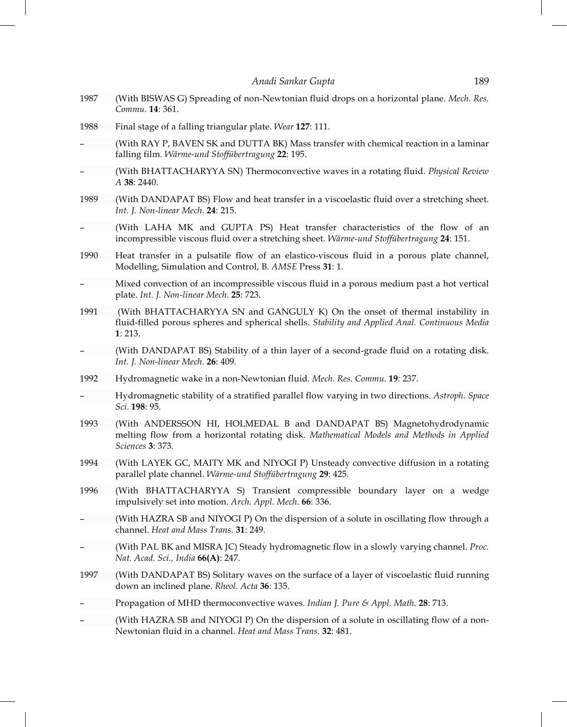- 1987 (With BISWAS G) Spreading of non-Newtonian fluid drops on a horizontal plane. *Mech. Res. Commu*. **14**: 361.
- 1988 Final stage of a falling triangular plate. *Wear* **127**: 111.
- (With RAY P, BAVEN SK and DUTTA BK) Mass transfer with chemical reaction in a laminar falling film. *Wärme-und Stoffübertragung* **22**: 195.
- (With BHATTACHARYYA SN) Thermoconvective waves in a rotating fluid. *Physical Review A* **38**: 2440.
- 1989 (With DANDAPAT BS) Flow and heat transfer in a viscoelastic fluid over a stretching sheet. *Int. J. Non-linear Mech*. **24**: 215.
- (With LAHA MK and GUPTA PS) Heat transfer characteristics of the flow of an incompressible viscous fluid over a stretching sheet. *Wärme-und Stoffübertragung* **24**: 151.
- 1990 Heat transfer in a pulsatile flow of an elastico-viscous fluid in a porous plate channel, Modelling, Simulation and Control, B. *AMSE* Press **31**: 1.
- Mixed convection of an incompressible viscous fluid in a porous medium past a hot vertical plate. *Int. J. Non-linear Mech*. **25**: 723.
- 1991 (With BHATTACHARYYA SN and GANGULY K) On the onset of thermal instability in fluid-filled porous spheres and spherical shells. *Stability and Applied Anal. Continuous Media* **1**: 213.
- (With DANDAPAT BS) Stability of a thin layer of a second-grade fluid on a rotating disk. *Int. J. Non-linear Mech*. **26**: 409.
- 1992 Hydromagnetic wake in a non-Newtonian fluid. *Mech. Res. Commu*. **19**: 237.
- Hydromagnetic stability of a stratified parallel flow varying in two directions. *Astroph. Space Sci*. **198**: 95.
- 1993 (With ANDERSSON HI, HOLMEDAL B and DANDAPAT BS) Magnetohydrodynamic melting flow from a horizontal rotating disk. *Mathematical Models and Methods in Applied Sciences* **3**: 373.
- 1994 (With LAYEK GC, MAITY MK and NIYOGI P) Unsteady convective diffusion in a rotating parallel plate channel. *Wärme-und Stoffübertragung* **29**: 425.
- 1996 (With BHATTACHARYYA S) Transient compressible boundary layer on a wedge impulsively set into motion. *Arch. Appl. Mech*. **66**: 336.
- (With HAZRA SB and NIYOGI P) On the dispersion of a solute in oscillating flow through a channel. *Heat and Mass Trans.* **31**: 249.
- (With PAL BK and MISRA JC) Steady hydromagnetic flow in a slowly varying channel. *Proc. Nat. Acad. Sci., India* **66(A)**: 247.
- 1997 (With DANDAPAT BS) Solitary waves on the surface of a layer of viscoelastic fluid running down an inclined plane. *Rheol. Acta* **36**: 135.
- Propagation of MHD thermoconvective waves. *Indian J. Pure & Appl. Math*. **28**: 713.
- (With HAZRA SB and NIYOGI P) On the dispersion of a solute in oscillating flow of a non-Newtonian fluid in a channel. *Heat and Mass Trans*. **32**: 481.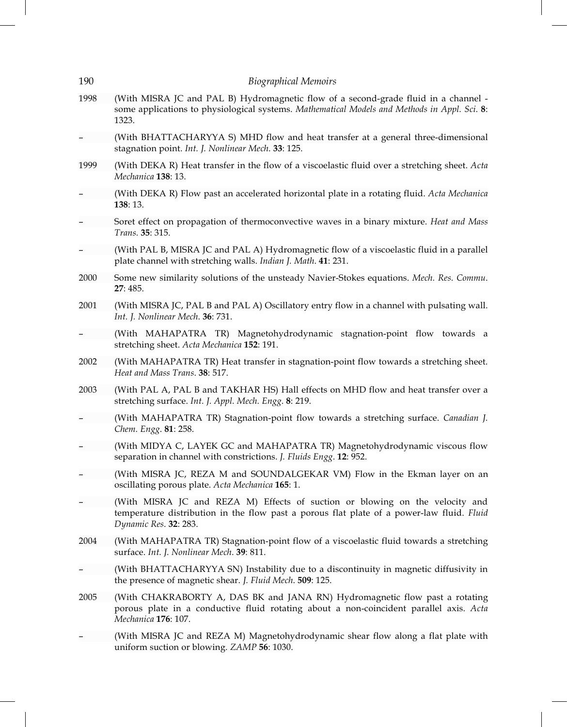| 190  | <b>Biographical Memoirs</b>                                                                                                                                                                        |
|------|----------------------------------------------------------------------------------------------------------------------------------------------------------------------------------------------------|
| 1998 | (With MISRA JC and PAL B) Hydromagnetic flow of a second-grade fluid in a channel -<br>some applications to physiological systems. Mathematical Models and Methods in Appl. Sci. 8:<br>1323.       |
|      | (With BHATTACHARYYA S) MHD flow and heat transfer at a general three-dimensional<br>stagnation point. Int. J. Nonlinear Mech. 33: 125.                                                             |
| 1999 | (With DEKA R) Heat transfer in the flow of a viscoelastic fluid over a stretching sheet. Acta<br>Mechanica 138: 13.                                                                                |
|      | (With DEKA R) Flow past an accelerated horizontal plate in a rotating fluid. Acta Mechanica<br>138: 13.                                                                                            |
|      | Soret effect on propagation of thermoconvective waves in a binary mixture. Heat and Mass<br>Trans. 35: 315.                                                                                        |
|      | (With PAL B, MISRA JC and PAL A) Hydromagnetic flow of a viscoelastic fluid in a parallel<br>plate channel with stretching walls. Indian J. Math. 41: 231.                                         |
| 2000 | Some new similarity solutions of the unsteady Navier-Stokes equations. Mech. Res. Commu.<br>27: 485.                                                                                               |
| 2001 | (With MISRA JC, PAL B and PAL A) Oscillatory entry flow in a channel with pulsating wall.<br>Int. J. Nonlinear Mech. 36: 731.                                                                      |
|      | (With MAHAPATRA TR) Magnetohydrodynamic stagnation-point flow towards a<br>stretching sheet. Acta Mechanica 152: 191.                                                                              |
| 2002 | (With MAHAPATRA TR) Heat transfer in stagnation-point flow towards a stretching sheet.<br>Heat and Mass Trans. 38: 517.                                                                            |
| 2003 | (With PAL A, PAL B and TAKHAR HS) Hall effects on MHD flow and heat transfer over a<br>stretching surface. Int. J. Appl. Mech. Engg. 8: 219.                                                       |
|      | (With MAHAPATRA TR) Stagnation-point flow towards a stretching surface. Canadian J.<br>Chem. Engg. 81: 258.                                                                                        |
|      | (With MIDYA C, LAYEK GC and MAHAPATRA TR) Magnetohydrodynamic viscous flow<br>separation in channel with constrictions. J. Fluids Engg. 12: 952.                                                   |
|      | (With MISRA JC, REZA M and SOUNDALGEKAR VM) Flow in the Ekman layer on an<br>oscillating porous plate. Acta Mechanica 165: 1.                                                                      |
|      | (With MISRA JC and REZA M) Effects of suction or blowing on the velocity and<br>temperature distribution in the flow past a porous flat plate of a power-law fluid. Fluid<br>Dynamic Res. 32: 283. |
| 2004 | (With MAHAPATRA TR) Stagnation-point flow of a viscoelastic fluid towards a stretching<br>surface. Int. J. Nonlinear Mech. 39: 811.                                                                |
|      | (With BHATTACHARYYA SN) Instability due to a discontinuity in magnetic diffusivity in<br>the presence of magnetic shear. J. Fluid Mech. 509: 125.                                                  |
| 2005 | (With CHAKRABORTY A, DAS BK and JANA RN) Hydromagnetic flow past a rotating<br>porous plate in a conductive fluid rotating about a non-coincident parallel axis. Acta<br>Mechanica 176: 107.       |
|      | (With MISRA JC and REZA M) Magnetohydrodynamic shear flow along a flat plate with<br>uniform suction or blowing. ZAMP 56: 1030.                                                                    |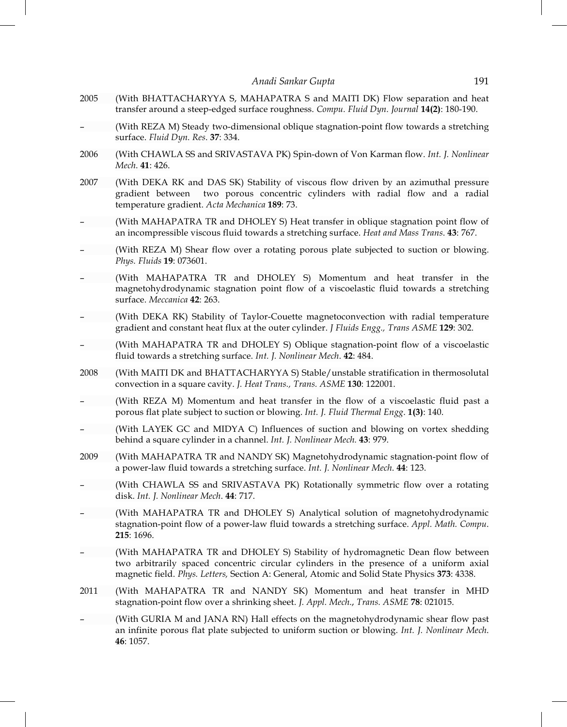- 2005 (With BHATTACHARYYA S, MAHAPATRA S and MAITI DK) Flow separation and heat transfer around a steep-edged surface roughness. *Compu. Fluid Dyn. Journal* **14(2)**: 180-190.
- (With REZA M) Steady two-dimensional oblique stagnation-point flow towards a stretching surface. *Fluid Dyn. Res*. **37**: 334.
- 2006 (With CHAWLA SS and SRIVASTAVA PK) Spin-down of Von Karman flow. *Int. J. Nonlinear Mech*. **41**: 426.
- 2007 (With DEKA RK and DAS SK) Stability of viscous flow driven by an azimuthal pressure gradient between two porous concentric cylinders with radial flow and a radial temperature gradient. *Acta Mechanica* **189**: 73.
- (With MAHAPATRA TR and DHOLEY S) Heat transfer in oblique stagnation point flow of an incompressible viscous fluid towards a stretching surface. *Heat and Mass Trans*. **43**: 767.
- (With REZA M) Shear flow over a rotating porous plate subjected to suction or blowing. *Phys. Fluids* **19**: 073601.
- (With MAHAPATRA TR and DHOLEY S) Momentum and heat transfer in the magnetohydrodynamic stagnation point flow of a viscoelastic fluid towards a stretching surface. *Meccanica* **42**: 263.
- (With DEKA RK) Stability of Taylor-Couette magnetoconvection with radial temperature gradient and constant heat flux at the outer cylinder. *J Fluids Engg., Trans ASME* **129**: 302.
- (With MAHAPATRA TR and DHOLEY S) Oblique stagnation-point flow of a viscoelastic fluid towards a stretching surface. *Int. J. Nonlinear Mech*. **42**: 484.
- 2008 (With MAITI DK and BHATTACHARYYA S) Stable/unstable stratification in thermosolutal convection in a square cavity. *J. Heat Trans., Trans. ASME* **130**: 122001.
- (With REZA M) Momentum and heat transfer in the flow of a viscoelastic fluid past a porous flat plate subject to suction or blowing. *Int. J. Fluid Thermal Engg*. **1(3)**: 140.
- (With LAYEK GC and MIDYA C) Influences of suction and blowing on vortex shedding behind a square cylinder in a channel. *Int. J. Nonlinear Mech.* **43**: 979.
- 2009 (With MAHAPATRA TR and NANDY SK) Magnetohydrodynamic stagnation-point flow of a power-law fluid towards a stretching surface. *Int. J. Nonlinear Mech*. **44**: 123.
- (With CHAWLA SS and SRIVASTAVA PK) Rotationally symmetric flow over a rotating disk. *Int. J. Nonlinear Mech*. **44**: 717.
- (With MAHAPATRA TR and DHOLEY S) Analytical solution of magnetohydrodynamic stagnation-point flow of a power-law fluid towards a stretching surface. *Appl. Math. Compu*. **215**: 1696.
- (With MAHAPATRA TR and DHOLEY S) Stability of hydromagnetic Dean flow between two arbitrarily spaced concentric circular cylinders in the presence of a uniform axial magnetic field. *Phys. Letters,* Section A: General, Atomic and Solid State Physics **373**: 4338.
- 2011 (With MAHAPATRA TR and NANDY SK) Momentum and heat transfer in MHD stagnation-point flow over a shrinking sheet. *J. Appl. Mech*., *Trans. ASME* **78**: 021015.
- (With GURIA M and JANA RN) Hall effects on the magnetohydrodynamic shear flow past an infinite porous flat plate subjected to uniform suction or blowing. *Int. J. Nonlinear Mech*. **46**: 1057.